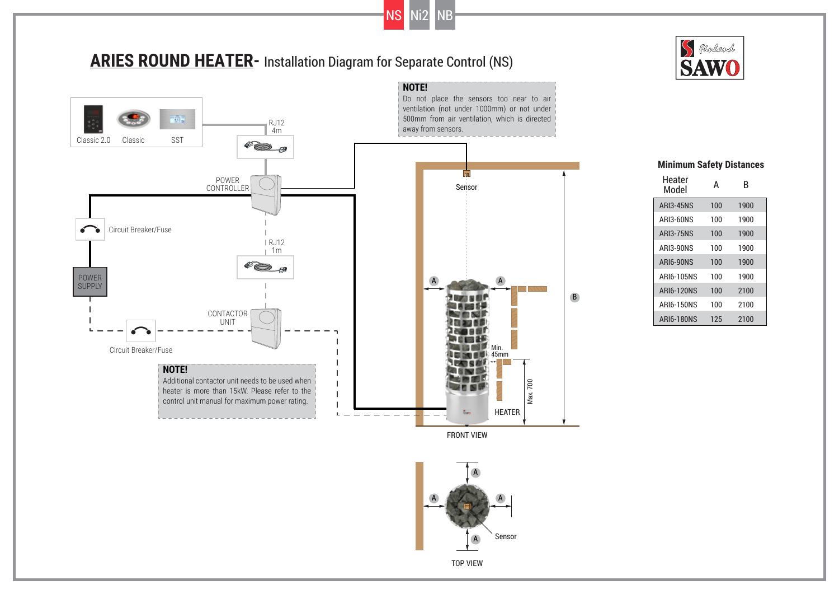

 $\mathbf{L}$ 

 $NS$   $Ni2$ 

**NOTE!**

Circuit Breaker/Fuse

Additional contactor unit needs to be used when heater is more than 15kW. Please refer to the control unit manual for maximum power rating.



## Heater A Heater A B<br>Model A B 100 100 100 100 100 1900 1900 1900 1900 1900 ARI3-45NS ARI3-60NS ARI3-75NS ARI3-90NS ARI6-90NS 100 100 100 125 1900 2100 2100 2100 ARI6-105NS ARI6-120NS ARI6-150NS ARI6-180NS



FRONT VIEW

Sun

HEATER

Max. 700

Min.  $45mm$ 

## **Minimum Safety Distances**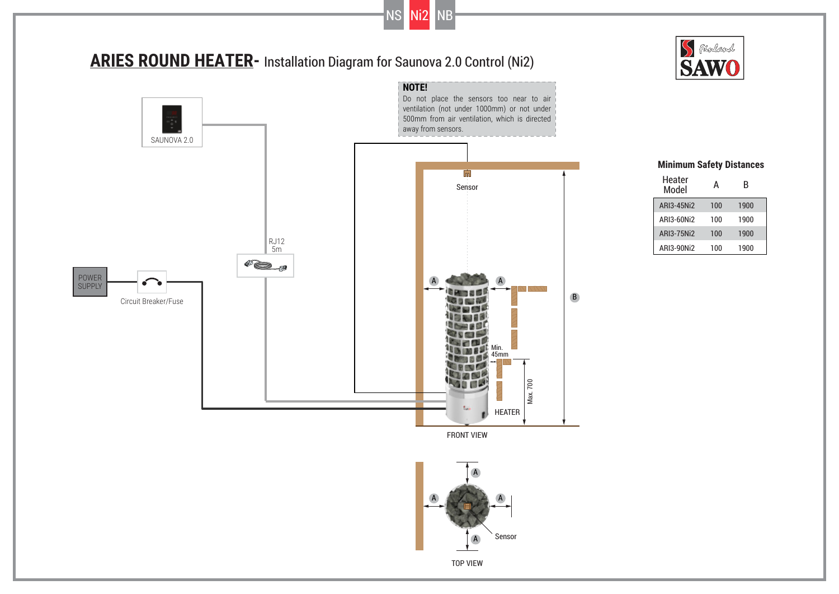

NS Ni2 NB





## **Minimum Safety Distances**

| Heater<br>Model | А   | R    |
|-----------------|-----|------|
| ARI3-45Ni2      | 100 | 1900 |
| ARI3-60Ni2      | 100 | 1900 |
| ARI3-75Ni2      | 100 | 1900 |
| ARI3-90Ni2      | 100 | 1900 |